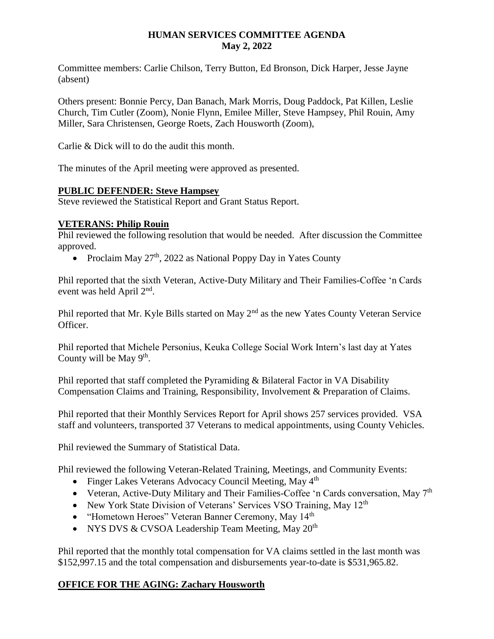### **HUMAN SERVICES COMMITTEE AGENDA May 2, 2022**

Committee members: Carlie Chilson, Terry Button, Ed Bronson, Dick Harper, Jesse Jayne (absent)

Others present: Bonnie Percy, Dan Banach, Mark Morris, Doug Paddock, Pat Killen, Leslie Church, Tim Cutler (Zoom), Nonie Flynn, Emilee Miller, Steve Hampsey, Phil Rouin, Amy Miller, Sara Christensen, George Roets, Zach Housworth (Zoom),

Carlie & Dick will to do the audit this month.

The minutes of the April meeting were approved as presented.

### **PUBLIC DEFENDER: Steve Hampsey**

Steve reviewed the Statistical Report and Grant Status Report.

### **VETERANS: Philip Rouin**

Phil reviewed the following resolution that would be needed. After discussion the Committee approved.

• Proclaim May  $27<sup>th</sup>$ , 2022 as National Poppy Day in Yates County

Phil reported that the sixth Veteran, Active-Duty Military and Their Families-Coffee 'n Cards event was held April 2<sup>nd</sup>.

Phil reported that Mr. Kyle Bills started on May  $2<sup>nd</sup>$  as the new Yates County Veteran Service Officer.

Phil reported that Michele Personius, Keuka College Social Work Intern's last day at Yates County will be May  $9<sup>th</sup>$ .

Phil reported that staff completed the Pyramiding & Bilateral Factor in VA Disability Compensation Claims and Training, Responsibility, Involvement & Preparation of Claims.

Phil reported that their Monthly Services Report for April shows 257 services provided. VSA staff and volunteers, transported 37 Veterans to medical appointments, using County Vehicles.

Phil reviewed the Summary of Statistical Data.

Phil reviewed the following Veteran-Related Training, Meetings, and Community Events:

- Finger Lakes Veterans Advocacy Council Meeting, May 4<sup>th</sup>
- Veteran, Active-Duty Military and Their Families-Coffee 'n Cards conversation, May 7<sup>th</sup>
- New York State Division of Veterans' Services VSO Training, May 12<sup>th</sup>
- "Hometown Heroes" Veteran Banner Ceremony, May 14<sup>th</sup>
- NYS DVS & CVSOA Leadership Team Meeting, May  $20<sup>th</sup>$

Phil reported that the monthly total compensation for VA claims settled in the last month was \$152,997.15 and the total compensation and disbursements year-to-date is \$531,965.82.

### **OFFICE FOR THE AGING: Zachary Housworth**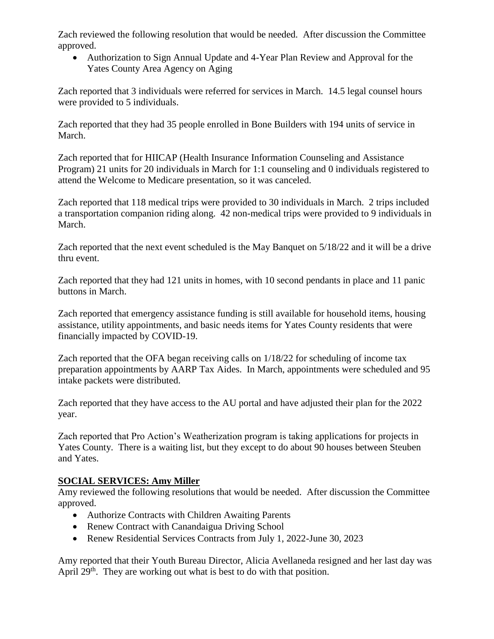Zach reviewed the following resolution that would be needed. After discussion the Committee approved.

 Authorization to Sign Annual Update and 4-Year Plan Review and Approval for the Yates County Area Agency on Aging

Zach reported that 3 individuals were referred for services in March. 14.5 legal counsel hours were provided to 5 individuals.

Zach reported that they had 35 people enrolled in Bone Builders with 194 units of service in March.

Zach reported that for HIICAP (Health Insurance Information Counseling and Assistance Program) 21 units for 20 individuals in March for 1:1 counseling and 0 individuals registered to attend the Welcome to Medicare presentation, so it was canceled.

Zach reported that 118 medical trips were provided to 30 individuals in March. 2 trips included a transportation companion riding along. 42 non-medical trips were provided to 9 individuals in March.

Zach reported that the next event scheduled is the May Banquet on 5/18/22 and it will be a drive thru event.

Zach reported that they had 121 units in homes, with 10 second pendants in place and 11 panic buttons in March.

Zach reported that emergency assistance funding is still available for household items, housing assistance, utility appointments, and basic needs items for Yates County residents that were financially impacted by COVID-19.

Zach reported that the OFA began receiving calls on 1/18/22 for scheduling of income tax preparation appointments by AARP Tax Aides. In March, appointments were scheduled and 95 intake packets were distributed.

Zach reported that they have access to the AU portal and have adjusted their plan for the 2022 year.

Zach reported that Pro Action's Weatherization program is taking applications for projects in Yates County. There is a waiting list, but they except to do about 90 houses between Steuben and Yates.

# **SOCIAL SERVICES: Amy Miller**

Amy reviewed the following resolutions that would be needed. After discussion the Committee approved.

- Authorize Contracts with Children Awaiting Parents
- Renew Contract with Canandaigua Driving School
- Renew Residential Services Contracts from July 1, 2022-June 30, 2023

Amy reported that their Youth Bureau Director, Alicia Avellaneda resigned and her last day was April  $29<sup>th</sup>$ . They are working out what is best to do with that position.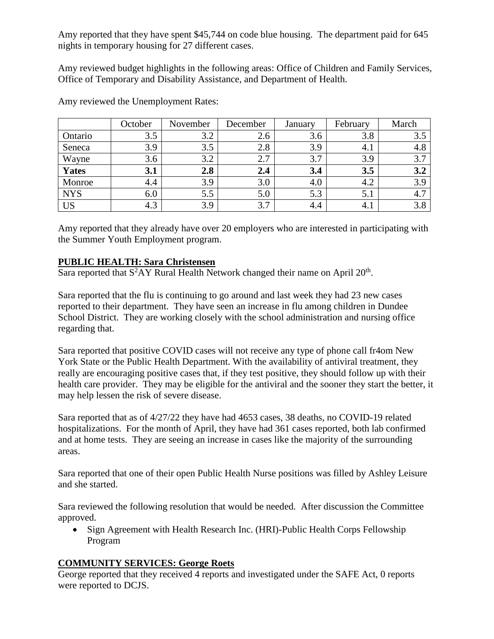Amy reported that they have spent \$45,744 on code blue housing. The department paid for 645 nights in temporary housing for 27 different cases.

Amy reviewed budget highlights in the following areas: Office of Children and Family Services, Office of Temporary and Disability Assistance, and Department of Health.

|              | October | November | December | January | February | March |
|--------------|---------|----------|----------|---------|----------|-------|
| Ontario      | 3.5     | 3.2      | 2.6      | 3.6     | 3.8      | 3.5   |
| Seneca       | 3.9     | 3.5      | 2.8      | 3.9     | 4.1      | 4.8   |
| Wayne        | 3.6     | 3.2      | 2.7      | 3.7     | 3.9      | 3.7   |
| <b>Yates</b> | 3.1     | 2.8      | 2.4      | 3.4     | 3.5      | 3.2   |
| Monroe       | 4.4     | 3.9      | 3.0      | 4.0     | 4.2      | 3.9   |
| <b>NYS</b>   | 6.0     | 5.5      | 5.0      | 5.3     | 5.1      | 4.7   |
| <b>US</b>    | 4.3     | 3.9      | 3.7      | 4.4     | 4.1      | 3.8   |

Amy reviewed the Unemployment Rates:

Amy reported that they already have over 20 employers who are interested in participating with the Summer Youth Employment program.

## **PUBLIC HEALTH: Sara Christensen**

Sara reported that  $S^2AY$  Rural Health Network changed their name on April  $20<sup>th</sup>$ .

Sara reported that the flu is continuing to go around and last week they had 23 new cases reported to their department. They have seen an increase in flu among children in Dundee School District. They are working closely with the school administration and nursing office regarding that.

Sara reported that positive COVID cases will not receive any type of phone call fr4om New York State or the Public Health Department. With the availability of antiviral treatment, they really are encouraging positive cases that, if they test positive, they should follow up with their health care provider. They may be eligible for the antiviral and the sooner they start the better, it may help lessen the risk of severe disease.

Sara reported that as of 4/27/22 they have had 4653 cases, 38 deaths, no COVID-19 related hospitalizations. For the month of April, they have had 361 cases reported, both lab confirmed and at home tests. They are seeing an increase in cases like the majority of the surrounding areas.

Sara reported that one of their open Public Health Nurse positions was filled by Ashley Leisure and she started.

Sara reviewed the following resolution that would be needed. After discussion the Committee approved.

• Sign Agreement with Health Research Inc. (HRI)-Public Health Corps Fellowship Program

# **COMMUNITY SERVICES: George Roets**

George reported that they received 4 reports and investigated under the SAFE Act, 0 reports were reported to DCJS.